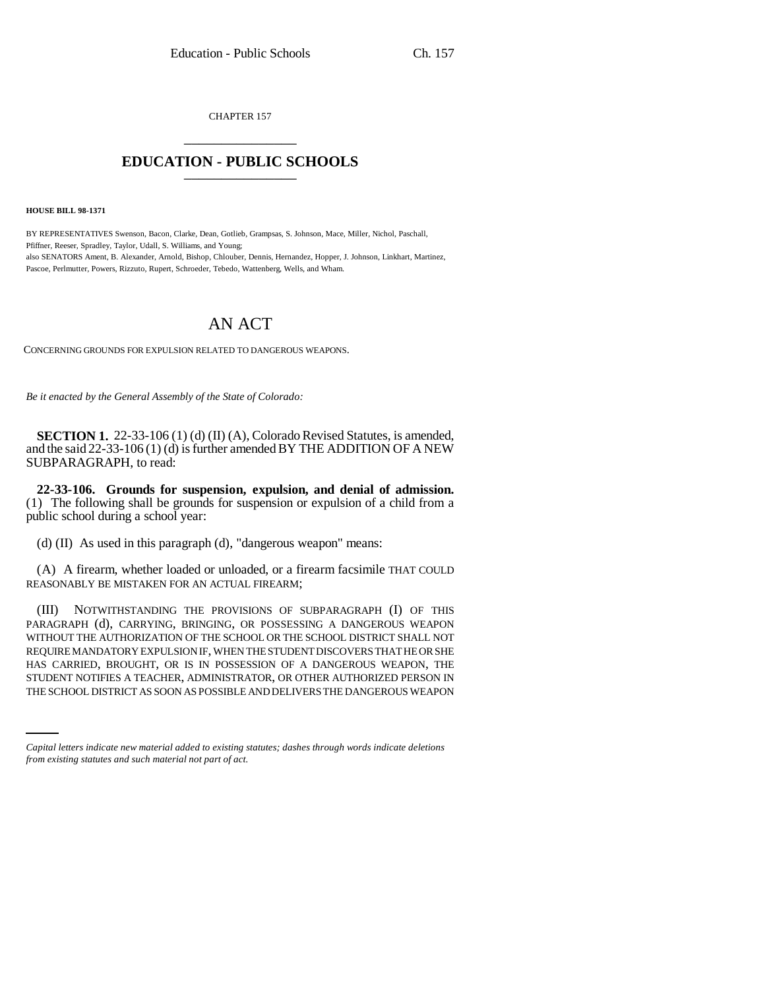CHAPTER 157 \_\_\_\_\_\_\_\_\_\_\_\_\_\_\_

## **EDUCATION - PUBLIC SCHOOLS** \_\_\_\_\_\_\_\_\_\_\_\_\_\_\_

**HOUSE BILL 98-1371**

BY REPRESENTATIVES Swenson, Bacon, Clarke, Dean, Gotlieb, Grampsas, S. Johnson, Mace, Miller, Nichol, Paschall, Pfiffner, Reeser, Spradley, Taylor, Udall, S. Williams, and Young; also SENATORS Ament, B. Alexander, Arnold, Bishop, Chlouber, Dennis, Hernandez, Hopper, J. Johnson, Linkhart, Martinez, Pascoe, Perlmutter, Powers, Rizzuto, Rupert, Schroeder, Tebedo, Wattenberg, Wells, and Wham.

## AN ACT

CONCERNING GROUNDS FOR EXPULSION RELATED TO DANGEROUS WEAPONS.

*Be it enacted by the General Assembly of the State of Colorado:*

**SECTION 1.** 22-33-106 (1) (d) (II) (A), Colorado Revised Statutes, is amended, and the said 22-33-106 (1) (d) is further amended BY THE ADDITION OF A NEW SUBPARAGRAPH, to read:

**22-33-106. Grounds for suspension, expulsion, and denial of admission.** (1) The following shall be grounds for suspension or expulsion of a child from a public school during a school year:

(d) (II) As used in this paragraph (d), "dangerous weapon" means:

(A) A firearm, whether loaded or unloaded, or a firearm facsimile THAT COULD REASONABLY BE MISTAKEN FOR AN ACTUAL FIREARM;

HAS CARRIED, BROUGHT, OR IS IN POSSESSION OF A DANGEROUS WEAPON, THE (III) NOTWITHSTANDING THE PROVISIONS OF SUBPARAGRAPH (I) OF THIS PARAGRAPH (d), CARRYING, BRINGING, OR POSSESSING A DANGEROUS WEAPON WITHOUT THE AUTHORIZATION OF THE SCHOOL OR THE SCHOOL DISTRICT SHALL NOT REQUIRE MANDATORY EXPULSION IF, WHEN THE STUDENT DISCOVERS THAT HE OR SHE STUDENT NOTIFIES A TEACHER, ADMINISTRATOR, OR OTHER AUTHORIZED PERSON IN THE SCHOOL DISTRICT AS SOON AS POSSIBLE AND DELIVERS THE DANGEROUS WEAPON

*Capital letters indicate new material added to existing statutes; dashes through words indicate deletions from existing statutes and such material not part of act.*